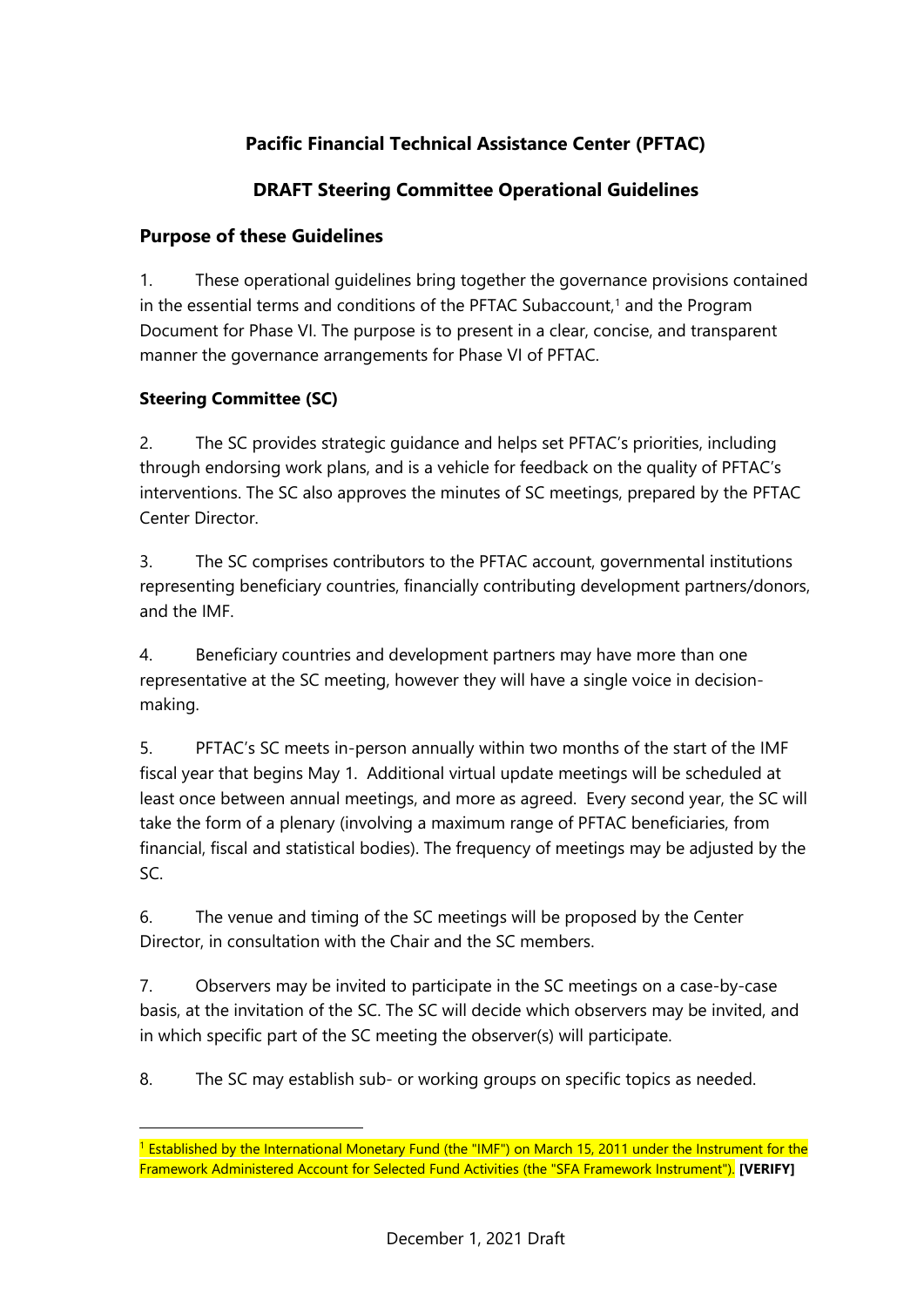# **Pacific Financial Technical Assistance Center (PFTAC)**

## **DRAFT Steering Committee Operational Guidelines**

#### **Purpose of these Guidelines**

1. These operational guidelines bring together the governance provisions contained in the essential terms and conditions of the PFTAC Subaccount, [1](#page-0-0) and the Program Document for Phase VI. The purpose is to present in a clear, concise, and transparent manner the governance arrangements for Phase VI of PFTAC.

#### **Steering Committee (SC)**

2. The SC provides strategic guidance and helps set PFTAC's priorities, including through endorsing work plans, and is a vehicle for feedback on the quality of PFTAC's interventions. The SC also approves the minutes of SC meetings, prepared by the PFTAC Center Director.

3. The SC comprises contributors to the PFTAC account, governmental institutions representing beneficiary countries, financially contributing development partners/donors, and the IMF.

4. Beneficiary countries and development partners may have more than one representative at the SC meeting, however they will have a single voice in decisionmaking.

5. PFTAC's SC meets in-person annually within two months of the start of the IMF fiscal year that begins May 1. Additional virtual update meetings will be scheduled at least once between annual meetings, and more as agreed. Every second year, the SC will take the form of a plenary (involving a maximum range of PFTAC beneficiaries, from financial, fiscal and statistical bodies). The frequency of meetings may be adjusted by the SC.

6. The venue and timing of the SC meetings will be proposed by the Center Director, in consultation with the Chair and the SC members.

7. Observers may be invited to participate in the SC meetings on a case-by-case basis, at the invitation of the SC. The SC will decide which observers may be invited, and in which specific part of the SC meeting the observer(s) will participate.

8. The SC may establish sub- or working groups on specific topics as needed.

<span id="page-0-0"></span><sup>&</sup>lt;sup>1</sup> Established by the International Monetary Fund (the "IMF") on March 15, 2011 under the Instrument for the Framework Administered Account for Selected Fund Activities (the "SFA Framework Instrument"). **[VERIFY]**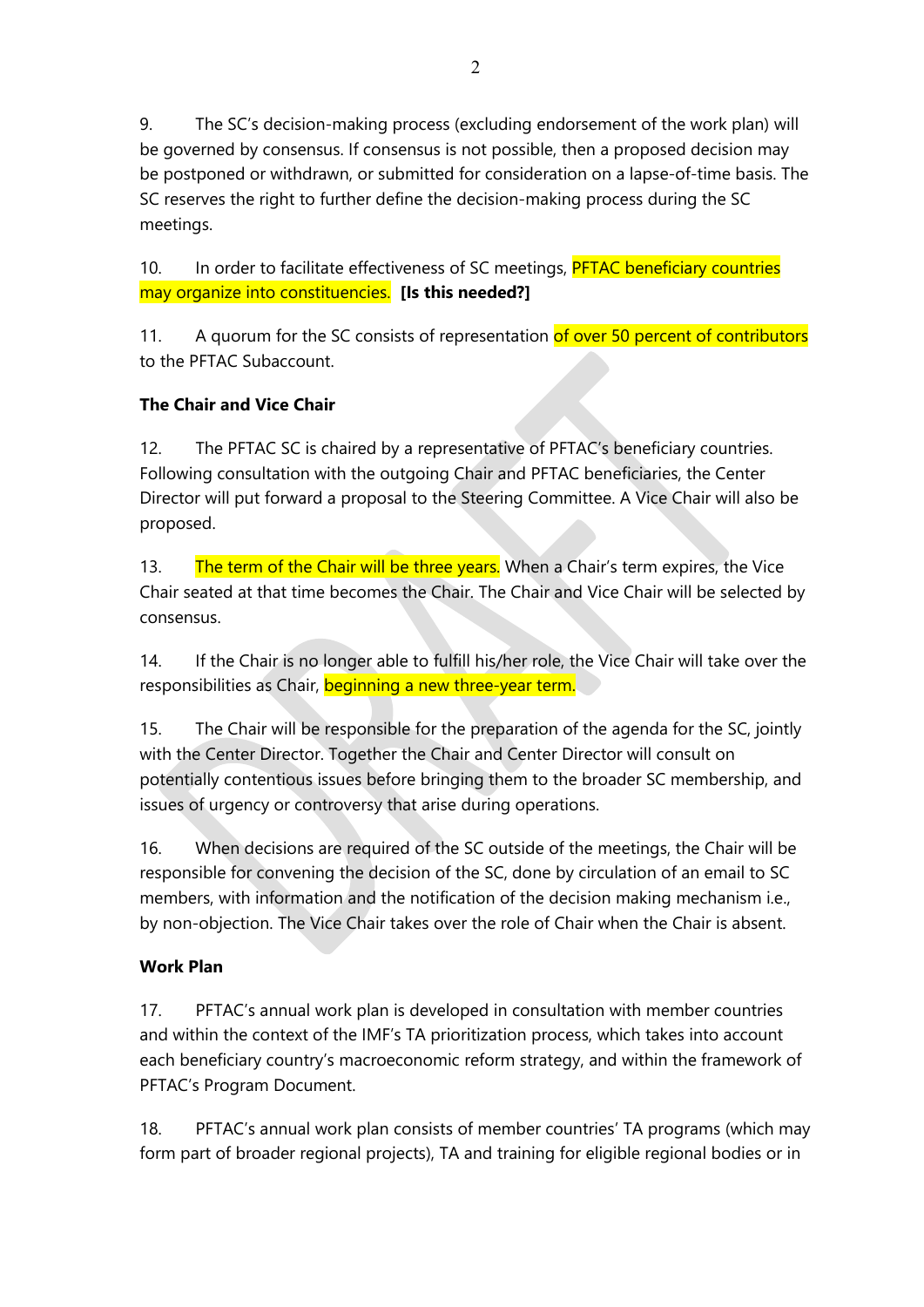9. The SC's decision-making process (excluding endorsement of the work plan) will be governed by consensus. If consensus is not possible, then a proposed decision may be postponed or withdrawn, or submitted for consideration on a lapse-of-time basis. The SC reserves the right to further define the decision-making process during the SC meetings.

10. In order to facilitate effectiveness of SC meetings, PFTAC beneficiary countries may organize into constituencies. **[Is this needed?]**

11. A quorum for the SC consists of representation of over 50 percent of contributors to the PFTAC Subaccount.

## **The Chair and Vice Chair**

12. The PFTAC SC is chaired by a representative of PFTAC's beneficiary countries. Following consultation with the outgoing Chair and PFTAC beneficiaries, the Center Director will put forward a proposal to the Steering Committee. A Vice Chair will also be proposed.

13. The term of the Chair will be three years. When a Chair's term expires, the Vice Chair seated at that time becomes the Chair. The Chair and Vice Chair will be selected by consensus.

14. If the Chair is no longer able to fulfill his/her role, the Vice Chair will take over the responsibilities as Chair, beginning a new three-year term.

15. The Chair will be responsible for the preparation of the agenda for the SC, jointly with the Center Director. Together the Chair and Center Director will consult on potentially contentious issues before bringing them to the broader SC membership, and issues of urgency or controversy that arise during operations.

16. When decisions are required of the SC outside of the meetings, the Chair will be responsible for convening the decision of the SC, done by circulation of an email to SC members, with information and the notification of the decision making mechanism i.e., by non-objection. The Vice Chair takes over the role of Chair when the Chair is absent.

## **Work Plan**

17. PFTAC's annual work plan is developed in consultation with member countries and within the context of the IMF's TA prioritization process, which takes into account each beneficiary country's macroeconomic reform strategy, and within the framework of PFTAC's Program Document.

18. PFTAC's annual work plan consists of member countries' TA programs (which may form part of broader regional projects), TA and training for eligible regional bodies or in